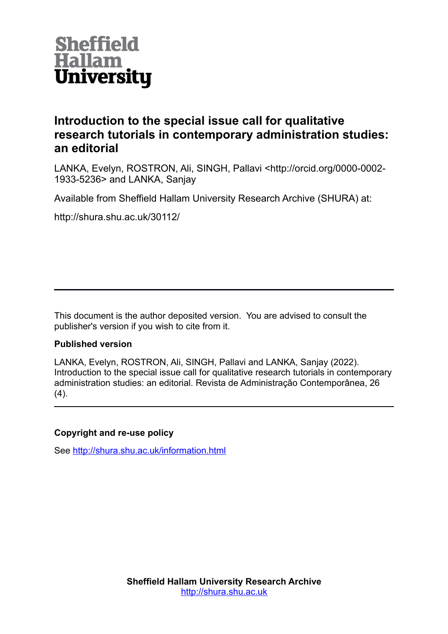

# **Introduction to the special issue call for qualitative research tutorials in contemporary administration studies: an editorial**

LANKA, Evelyn, ROSTRON, Ali, SINGH, Pallavi <http://orcid.org/0000-0002- 1933-5236> and LANKA, Sanjay

Available from Sheffield Hallam University Research Archive (SHURA) at:

http://shura.shu.ac.uk/30112/

This document is the author deposited version. You are advised to consult the publisher's version if you wish to cite from it.

## **Published version**

LANKA, Evelyn, ROSTRON, Ali, SINGH, Pallavi and LANKA, Sanjay (2022). Introduction to the special issue call for qualitative research tutorials in contemporary administration studies: an editorial. Revista de Administração Contemporânea, 26  $(4)$ .

## **Copyright and re-use policy**

See<http://shura.shu.ac.uk/information.html>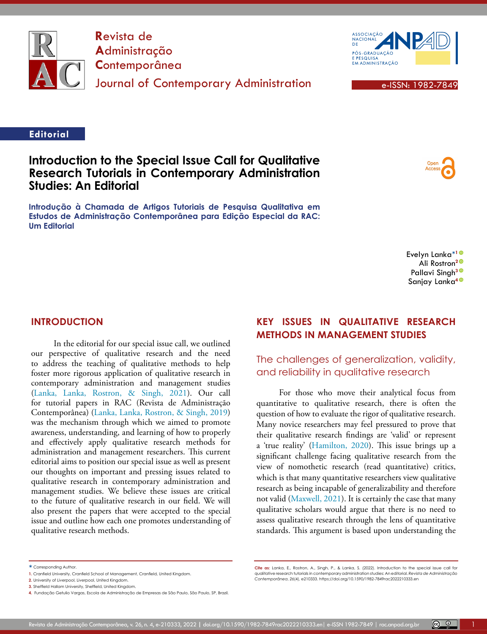

**R**evista de **A**dministração **C**ontemporânea Journal of Contemporary Administration e-ISSN: 1982-7849



## **Editorial**

# **Introduction to the Special Issue Call for Qualitative Research Tutorials in Contemporary Administration Studies: An Editorial**

**Introdução à Chamada de Artigos Tutoriais de Pesquisa Qualitativa em Estudos de Administração Contemporânea para Edição Especial da RAC: Um Editorial**



Evelyn Lanka**\*[1](https://orcid.org/0000-0003-0674-9955)** Ali Rostron**[2](https://orcid.org/0000-0003-1803-720X)** Pallavi Singh**[3](https://orcid.org/0000-0002-1933-5236)** Sanjay Lanka**[4](https://orcid.org/0000-0003-0045-1971)**

## **INTRODUCTION**

In the editorial for our special issue call, we outlined our perspective of qualitative research and the need to address the teaching of qualitative methods to help foster more rigorous application of qualitative research in contemporary administration and management studies (Lanka, Lanka, Rostron, & Singh, 2021). Our call for tutorial papers in RAC (Revista de Administração Contemporânea) (Lanka, Lanka, Rostron, & Singh, 2019) was the mechanism through which we aimed to promote awareness, understanding, and learning of how to properly and effectively apply qualitative research methods for administration and management researchers. This current editorial aims to position our special issue as well as present our thoughts on important and pressing issues related to qualitative research in contemporary administration and management studies. We believe these issues are critical to the future of qualitative research in our field. We will also present the papers that were accepted to the special issue and outline how each one promotes understanding of qualitative research methods.

# **KEY ISSUES IN QUALITATIVE RESEARCH METHODS IN MANAGEMENT STUDIES**

The challenges of generalization, validity, and reliability in qualitative research

For those who move their analytical focus from quantitative to qualitative research, there is often the question of how to evaluate the rigor of qualitative research. Many novice researchers may feel pressured to prove that their qualitative research findings are 'valid' or represent a 'true reality' [\(Hamilton, 2020](#page-9-0)). This issue brings up a significant challenge facing qualitative research from the view of nomothetic research (read quantitative) critics, which is that many quantitative researchers view qualitative research as being incapable of generalizability and therefore not valid (Maxwell, 2021). It is certainly the case that many qualitative scholars would argue that there is no need to assess qualitative research through the lens of quantitative standards. This argument is based upon understanding the

**\*** Corresponding Author.

**Cite as:** Lanka, E., Rostron, A., Singh, P., & Lanka, S. (2022). Introduction to the special issue call for<br>qualitative research tutorials in contemporary administration studies: An editorial. Revista de Administração *Contemporânea*, *26*(4), e210333. https://doi.org/10.1590/1982-7849rac2022210333.en

**<sup>1.</sup>** Cranfield University, Cranfield School of Management, Cranfield, United Kingdom.

**<sup>2.</sup>** University of Liverpool, Liverpool, United Kingdom.

**<sup>3.</sup>** Sheffield Hallam University, Sheffield, United Kingdom.

**<sup>4.</sup>** Fundação Getulio Vargas, Escola de Administração de Empresas de São Paulo, São Paulo, SP, Brazil.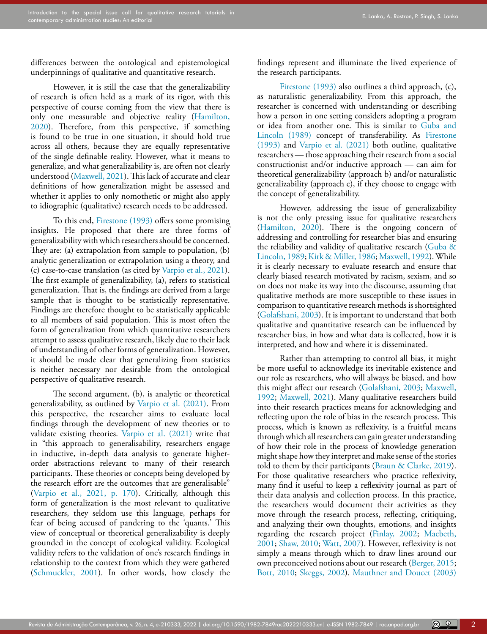differences between the ontological and epistemological underpinnings of qualitative and quantitative research.

However, it is still the case that the generalizability of research is often held as a mark of its rigor, with this perspective of course coming from the view that there is only one measurable and objective reality [\(Hamilton,](#page-9-0)  [2020](#page-9-0)). Therefore, from this perspective, if something is found to be true in one situation, it should hold true across all others, because they are equally representative of the single definable reality. However, what it means to generalize, and what generalizability is, are often not clearly understood (Maxwell, 2021). This lack of accurate and clear definitions of how generalization might be assessed and whether it applies to only nomothetic or might also apply to idiographic (qualitative) research needs to be addressed.

To this end, [Firestone \(1993\)](#page-9-1) offers some promising insights. He proposed that there are three forms of generalizability with which researchers should be concerned. They are: (a) extrapolation from sample to population, (b) analytic generalization or extrapolation using a theory, and (c) case-to-case translation (as cited by Varpio et al., 2021). The first example of generalizability, (a), refers to statistical generalization. That is, the findings are derived from a large sample that is thought to be statistically representative. Findings are therefore thought to be statistically applicable to all members of said population. This is most often the form of generalization from which quantitative researchers attempt to assess qualitative research, likely due to their lack of understanding of other forms of generalization. However, it should be made clear that generalizing from statistics is neither necessary nor desirable from the ontological perspective of qualitative research.

The second argument, (b), is analytic or theoretical generalizability, as outlined by Varpio et al. (2021). From this perspective, the researcher aims to evaluate local findings through the development of new theories or to validate existing theories. Varpio et al. (2021) write that in "this approach to generalisability, researchers engage in inductive, in-depth data analysis to generate higherorder abstractions relevant to many of their research participants. These theories or concepts being developed by the research effort are the outcomes that are generalisable" (Varpio et al., 2021, p. 170). Critically, although this form of generalization is the most relevant to qualitative researchers, they seldom use this language, perhaps for fear of being accused of pandering to the 'quants.' This view of conceptual or theoretical generalizability is deeply grounded in the concept of ecological validity. Ecological validity refers to the validation of one's research findings in relationship to the context from which they were gathered (Schmuckler, 2001). In other words, how closely the

findings represent and illuminate the lived experience of the research participants.

[Firestone \(1993\)](#page-9-1) also outlines a third approach, (c), as naturalistic generalizability. From this approach, the researcher is concerned with understanding or describing how a person in one setting considers adopting a program or idea from another one. This is similar to [Guba and](#page-9-2) [Lincoln \(1989\)](#page-9-2) concept of transferability. As [Firestone](#page-9-1) [\(1993\)](#page-9-1) and Varpio et al. (2021) both outline, qualitative researchers — those approaching their research from a social constructionist and/or inductive approach — can aim for theoretical generalizability (approach b) and/or naturalistic generalizability (approach c), if they choose to engage with the concept of generalizability.

However, addressing the issue of generalizability is not the only pressing issue for qualitative researchers [\(Hamilton, 2020](#page-9-0)). There is the ongoing concern of addressing and controlling for researcher bias and ensuring the reliability and validity of qualitative research [\(Guba &](#page-9-2) [Lincoln, 1989](#page-9-2); [Kirk & Miller, 1986;](#page-9-3) Maxwell, 1992). While it is clearly necessary to evaluate research and ensure that clearly biased research motivated by racism, sexism, and so on does not make its way into the discourse, assuming that qualitative methods are more susceptible to these issues in comparison to quantitative research methods is shortsighted [\(Golafshani, 2003\)](#page-9-4). It is important to understand that both qualitative and quantitative research can be influenced by researcher bias, in how and what data is collected, how it is interpreted, and how and where it is disseminated.

Rather than attempting to control all bias, it might be more useful to acknowledge its inevitable existence and our role as researchers, who will always be biased, and how this might affect our research ([Golafshani, 2003;](#page-9-4) Maxwell, 1992; Maxwell, 2021). Many qualitative researchers build into their research practices means for acknowledging and reflecting upon the role of bias in the research process. This process, which is known as reflexivity, is a fruitful means through which all researchers can gain greater understanding of how their role in the process of knowledge generation might shape how they interpret and make sense of the stories told to them by their participants [\(Braun & Clarke, 2019\)](#page-8-0). For those qualitative researchers who practice reflexivity, many find it useful to keep a reflexivity journal as part of their data analysis and collection process. In this practice, the researchers would document their activities as they move through the research process, reflecting, critiquing, and analyzing their own thoughts, emotions, and insights regarding the research project [\(Finlay, 2002](#page-8-1); Macbeth, 2001; Shaw, 2010; Watt, 2007). However, reflexivity is not simply a means through which to draw lines around our own preconceived notions about our research ([Berger, 2015](#page-8-2); [Bott, 2010;](#page-8-3) Skeggs, 2002). Mauthner and Doucet (2003)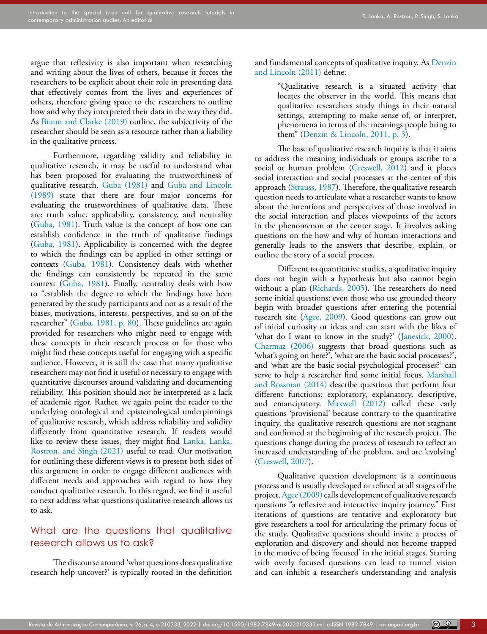argue that reflexivity is also important when researching and writing about the lives of others, because it forces the researchers to be explicit about their role in presenting data that effectively comes from the lives and experiences of others, therefore giving space to the researchers to outline how and why they interpreted their data in the way they did. As [Braun and Clarke \(2019\)](#page-8-0) outline, the subjectivity of the researcher should be seen as a resource rather than a liability in the qualitative process.

Furthermore, regarding validity and reliability in qualitative research, it may be useful to understand what has been proposed for evaluating the trustworthiness of qualitative research. [Guba \(1981\)](#page-9-5) and [Guba and Lincoln](#page-9-2)  [\(1989\)](#page-9-2) state that there are four major concerns for evaluating the trustworthiness of qualitative data. These are: truth value, applicability, consistency, and neutrality ([Guba, 1981](#page-9-5)). Truth value is the concept of how one can establish confidence in the truth of qualitative findings ([Guba, 1981](#page-9-5)). Applicability is concerned with the degree to which the findings can be applied in other settings or contexts [\(Guba, 1981](#page-9-5)). Consistency deals with whether the findings can consistently be repeated in the same context ([Guba, 1981](#page-9-5)). Finally, neutrality deals with how to "establish the degree to which the findings have been generated by the study participants and not as a result of the biases, motivations, interests, perspectives, and so on of the researcher" [\(Guba, 1981, p. 80\)](#page-9-5). These guidelines are again provided for researchers who might need to engage with these concepts in their research process or for those who might find these concepts useful for engaging with a specific audience. However, it is still the case that many qualitative researchers may not find it useful or necessary to engage with quantitative discourses around validating and documenting reliability. This position should not be interpreted as a lack of academic rigor. Rather, we again point the reader to the underlying ontological and epistemological underpinnings of qualitative research, which address reliability and validity differently from quantitative research. If readers would like to review these issues, they might find Lanka, Lanka, Rostron, and Singh (2021) useful to read. Our motivation for outlining these different views is to present both sides of this argument in order to engage different audiences with different needs and approaches with regard to how they conduct qualitative research. In this regard, we find it useful to next address what questions qualitative research allows us to ask.

# What are the questions that qualitative research allows us to ask?

The discourse around 'what questions does qualitative research help uncover?' is typically rooted in the definition and fundamental concepts of qualitative inquiry. As [Denzin](#page-8-4) [and Lincoln \(2011\)](#page-8-4) define:

> "Qualitative research is a situated activity that locates the observer in the world. This means that qualitative researchers study things in their natural settings, attempting to make sense of, or interpret, phenomena in terms of the meanings people bring to them" [\(Denzin & Lincoln, 2011, p. 3](#page-8-4)).

The base of qualitative research inquiry is that it aims to address the meaning individuals or groups ascribe to a social or human problem [\(Creswell, 2012\)](#page-8-5) and it places social interaction and social processes at the center of this approach (Strauss, 1987). Therefore, the qualitative research question needs to articulate what a researcher wants to know about the intentions and perspectives of those involved in the social interaction and places viewpoints of the actors in the phenomenon at the center stage. It involves asking questions on the how and why of human interactions and generally leads to the answers that describe, explain, or outline the story of a social process.

Different to quantitative studies, a qualitative inquiry does not begin with a hypothesis but also cannot begin without a plan (Richards, 2005). The researchers do need some initial questions; even those who use grounded theory begin with broader questions after entering the potential research site [\(Agee, 2009\)](#page-8-6). Good questions can grow out of initial curiosity or ideas and can start with the likes of 'what do I want to know in the study?' ([Janesick, 2000\)](#page-9-6). [Charmaz \(2006\)](#page-8-7) suggests that broad questions such as 'what's going on here?', 'what are the basic social processes?', and 'what are the basic social psychological processes?' can serve to help a researcher find some initial focus. Marshall and Rossman (2014) describe questions that perform four different functions: exploratory, explanatory, descriptive, and emancipatory. Maxwell (2012) called these early questions 'provisional' because contrary to the quantitative inquiry, the qualitative research questions are not stagnant and confirmed at the beginning of the research project. The questions change during the process of research to reflect an increased understanding of the problem, and are 'evolving' [\(Creswell, 2007\)](#page-8-8).

Qualitative question development is a continuous process and is usually developed or refined at all stages of the project. [Agee \(2009\)](#page-8-6) calls development of qualitative research questions "a reflexive and interactive inquiry journey." First iterations of questions are tentative and exploratory but give researchers a tool for articulating the primary focus of the study. Qualitative questions should invite a process of exploration and discovery and should not become trapped in the motive of being 'focused' in the initial stages. Starting with overly focused questions can lead to tunnel vision and can inhibit a researcher's understanding and analysis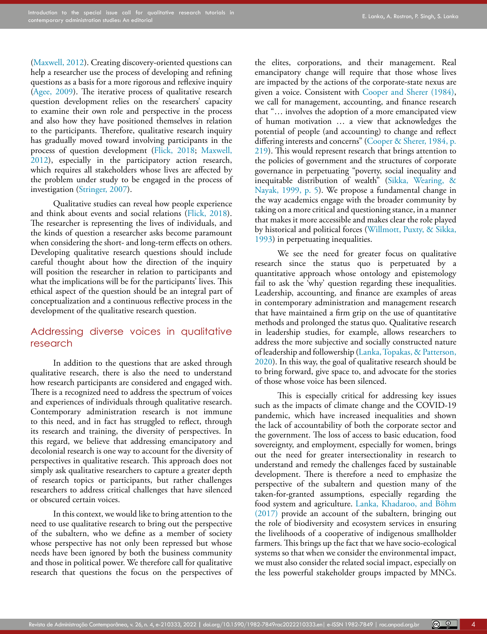(Maxwell, 2012). Creating discovery-oriented questions can help a researcher use the process of developing and refining questions as a basis for a more rigorous and reflexive inquiry ([Agee, 2009](#page-8-6)). The iterative process of qualitative research question development relies on the researchers' capacity to examine their own role and perspective in the process and also how they have positioned themselves in relation to the participants. Therefore, qualitative research inquiry has gradually moved toward involving participants in the process of question development ([Flick, 2018;](#page-9-7) Maxwell, 2012), especially in the participatory action research, which requires all stakeholders whose lives are affected by the problem under study to be engaged in the process of investigation (Stringer, 2007).

Qualitative studies can reveal how people experience and think about events and social relations [\(Flick, 2018](#page-9-7)). The researcher is representing the lives of individuals, and the kinds of question a researcher asks become paramount when considering the short- and long-term effects on others. Developing qualitative research questions should include careful thought about how the direction of the inquiry will position the researcher in relation to participants and what the implications will be for the participants' lives. This ethical aspect of the question should be an integral part of conceptualization and a continuous reflective process in the development of the qualitative research question.

## Addressing diverse voices in qualitative research

In addition to the questions that are asked through qualitative research, there is also the need to understand how research participants are considered and engaged with. There is a recognized need to address the spectrum of voices and experiences of individuals through qualitative research. Contemporary administration research is not immune to this need, and in fact has struggled to reflect, through its research and training, the diversity of perspectives. In this regard, we believe that addressing emancipatory and decolonial research is one way to account for the diversity of perspectives in qualitative research. This approach does not simply ask qualitative researchers to capture a greater depth of research topics or participants, but rather challenges researchers to address critical challenges that have silenced or obscured certain voices.

In this context, we would like to bring attention to the need to use qualitative research to bring out the perspective of the subaltern, who we define as a member of society whose perspective has not only been repressed but whose needs have been ignored by both the business community and those in political power. We therefore call for qualitative research that questions the focus on the perspectives of the elites, corporations, and their management. Real emancipatory change will require that those whose lives are impacted by the actions of the corporate-state nexus are given a voice. Consistent with [Cooper and Sherer \(1984\)](#page-8-9), we call for management, accounting, and finance research that "… involves the adoption of a more emancipated view of human motivation … a view that acknowledges the potential of people (and accounting) to change and reflect differing interests and concerns" [\(Cooper & Sherer, 1984, p.](#page-8-9) [219](#page-8-9)). This would represent research that brings attention to the policies of government and the structures of corporate governance in perpetuating "poverty, social inequality and inequitable distribution of wealth" (Sikka, Wearing, & Nayak, 1999, p. 5). We propose a fundamental change in the way academics engage with the broader community by taking on a more critical and questioning stance, in a manner that makes it more accessible and makes clear the role played by historical and political forces (Willmott, Puxty, & Sikka, 1993) in perpetuating inequalities.

We see the need for greater focus on qualitative research since the status quo is perpetuated by a quantitative approach whose ontology and epistemology fail to ask the 'why' question regarding these inequalities. Leadership, accounting, and finance are examples of areas in contemporary administration and management research that have maintained a firm grip on the use of quantitative methods and prolonged the status quo. Qualitative research in leadership studies, for example, allows researchers to address the more subjective and socially constructed nature of leadership and followership (Lanka, Topakas, & Patterson, 2020). In this way, the goal of qualitative research should be to bring forward, give space to, and advocate for the stories of those whose voice has been silenced.

This is especially critical for addressing key issues such as the impacts of climate change and the COVID-19 pandemic, which have increased inequalities and shown the lack of accountability of both the corporate sector and the government. The loss of access to basic education, food sovereignty, and employment, especially for women, brings out the need for greater intersectionality in research to understand and remedy the challenges faced by sustainable development. There is therefore a need to emphasize the perspective of the subaltern and question many of the taken-for-granted assumptions, especially regarding the food system and agriculture. Lanka, Khadaroo, and Böhm (2017) provide an account of the subaltern, bringing out the role of biodiversity and ecosystem services in ensuring the livelihoods of a cooperative of indigenous smallholder farmers. This brings up the fact that we have socio-ecological systems so that when we consider the environmental impact, we must also consider the related social impact, especially on the less powerful stakeholder groups impacted by MNCs.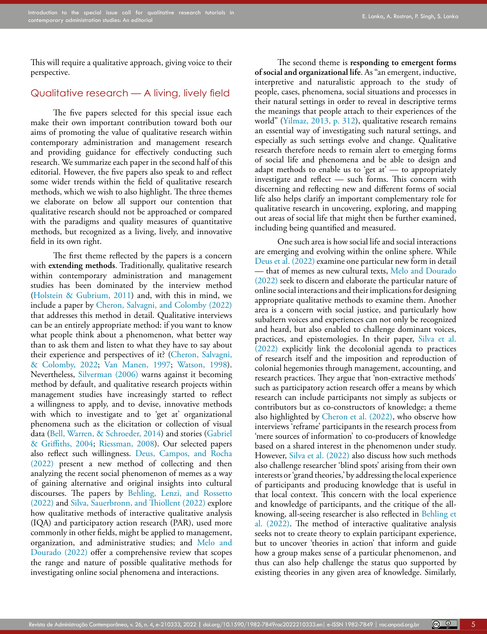This will require a qualitative approach, giving voice to their perspective.

# Qualitative research — A living, lively field

The five papers selected for this special issue each make their own important contribution toward both our aims of promoting the value of qualitative research within contemporary administration and management research and providing guidance for effectively conducting such research. We summarize each paper in the second half of this editorial. However, the five papers also speak to and reflect some wider trends within the field of qualitative research methods, which we wish to also highlight. The three themes we elaborate on below all support our contention that qualitative research should not be approached or compared with the paradigms and quality measures of quantitative methods, but recognized as a living, lively, and innovative field in its own right.

The first theme reflected by the papers is a concern with **extending methods**. Traditionally, qualitative research within contemporary administration and management studies has been dominated by the interview method ([Holstein & Gubrium, 2011](#page-9-8)) and, with this in mind, we include a paper by [Cheron, Salvagni, and Colomby \(2022\)](#page-8-10)  that addresses this method in detail. Qualitative interviews can be an entirely appropriate method: if you want to know what people think about a phenomenon, what better way than to ask them and listen to what they have to say about their experience and perspectives of it? ([Cheron, Salvagni,](#page-8-10)  [& Colomby, 2022](#page-8-10); Van Manen, 1997; Watson, 1998). Nevertheless, Silverman (2006) warns against it becoming method by default, and qualitative research projects within management studies have increasingly started to reflect a willingness to apply, and to devise, innovative methods with which to investigate and to 'get at' organizational phenomena such as the elicitation or collection of visual data [\(Bell, Warren, & Schroeder, 2014](#page-8-11)) and stories ([Gabriel](#page-9-9)  [& Griffiths, 2004;](#page-9-9) Riessman, 2008). Our selected papers also reflect such willingness. [Deus, Campos, and Rocha](#page-8-12)  [\(2022\)](#page-8-12) present a new method of collecting and then analyzing the recent social phenomenon of memes as a way of gaining alternative and original insights into cultural discourses. The papers by [Behling, Lenzi, and Rossetto](#page-8-13)  [\(2022\)](#page-8-13) and Silva, Sauerbronn, and Thiollent (2022) explore how qualitative methods of interactive qualitative analysis (IQA) and participatory action research (PAR), used more commonly in other fields, might be applied to management, organization, and administrative studies; and Melo and Dourado (2022) offer a comprehensive review that scopes the range and nature of possible qualitative methods for investigating online social phenomena and interactions.

The second theme is **responding to emergent forms of social and organizational life**. As "an emergent, inductive, interpretive and naturalistic approach to the study of people, cases, phenomena, social situations and processes in their natural settings in order to reveal in descriptive terms the meanings that people attach to their experiences of the world" (Yilmaz, 2013, p. 312), qualitative research remains an essential way of investigating such natural settings, and especially as such settings evolve and change. Qualitative research therefore needs to remain alert to emerging forms of social life and phenomena and be able to design and adapt methods to enable us to 'get at'  $-$  to appropriately investigate and reflect — such forms. This concern with discerning and reflecting new and different forms of social life also helps clarify an important complementary role for qualitative research in uncovering, exploring, and mapping out areas of social life that might then be further examined, including being quantified and measured.

One such area is how social life and social interactions are emerging and evolving within the online sphere. While [Deus et al. \(2022\)](#page-8-12) examine one particular new form in detail — that of memes as new cultural texts, Melo and Dourado (2022) seek to discern and elaborate the particular nature of online social interactions and their implications for designing appropriate qualitative methods to examine them. Another area is a concern with social justice, and particularly how subaltern voices and experiences can not only be recognized and heard, but also enabled to challenge dominant voices, practices, and epistemologies. In their paper, Silva et al. (2022) explicitly link the decolonial agenda to practices of research itself and the imposition and reproduction of colonial hegemonies through management, accounting, and research practices. They argue that 'non-extractive methods' such as participatory action research offer a means by which research can include participants not simply as subjects or contributors but as co-constructors of knowledge; a theme also highlighted by [Cheron et al. \(2022\)](#page-8-10), who observe how interviews 'reframe' participants in the research process from 'mere sources of information' to co-producers of knowledge based on a shared interest in the phenomenon under study. However, Silva et al. (2022) also discuss how such methods also challenge researcher 'blind spots' arising from their own interests or 'grand theories,' by addressing the local experience of participants and producing knowledge that is useful in that local context. This concern with the local experience and knowledge of participants, and the critique of the allknowing, all-seeing researcher is also reflected in [Behling et](#page-8-13) [al. \(2022\).](#page-8-13) The method of interactive qualitative analysis seeks not to create theory to explain participant experience, but to uncover 'theories in action' that inform and guide how a group makes sense of a particular phenomenon, and thus can also help challenge the status quo supported by existing theories in any given area of knowledge. Similarly,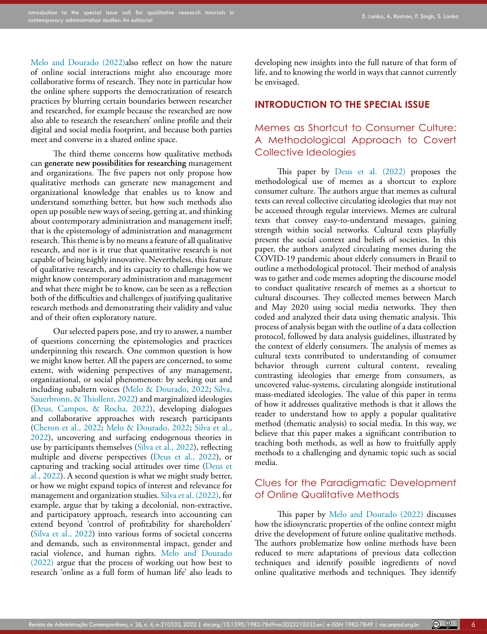Melo and Dourado (2022)also reflect on how the nature of online social interactions might also encourage more collaborative forms of research. They note in particular how the online sphere supports the democratization of research practices by blurring certain boundaries between researcher and researched, for example because the researched are now also able to research the researchers' online profile and their digital and social media footprint, and because both parties meet and converse in a shared online space.

The third theme concerns how qualitative methods can **generate new possibilities for researching** management and organizations. The five papers not only propose how qualitative methods can generate new management and organizational knowledge that enables us to know and understand something better, but how such methods also open up possible new ways of seeing, getting at, and thinking about contemporary administration and management itself; that is the epistemology of administration and management research. This theme is by no means a feature of all qualitative research, and nor is it true that quantitative research is not capable of being highly innovative. Nevertheless, this feature of qualitative research, and its capacity to challenge how we might know contemporary administration and management and what there might be to know, can be seen as a reflection both of the difficulties and challenges of justifying qualitative research methods and demonstrating their validity and value and of their often exploratory nature.

Our selected papers pose, and try to answer, a number of questions concerning the epistemologies and practices underpinning this research. One common question is how we might know better. All the papers are concerned, to some extent, with widening perspectives of any management, organizational, or social phenomenon: by seeking out and including subaltern voices (Melo & Dourado, 2022; Silva, Sauerbronn, & Thiollent, 2022) and marginalized ideologies ([Deus, Campos, & Rocha, 2022\)](#page-8-12), developing dialogues and collaborative approaches with research participants ([Cheron et al., 2022;](#page-8-10) Melo & Dourado, 2022; Silva et al., 2022), uncovering and surfacing endogenous theories in use by participants themselves (Silva et al., 2022), reflecting multiple and diverse perspectives ([Deus et al., 2022\)](#page-8-12), or capturing and tracking social attitudes over time ([Deus et](#page-8-12)  [al., 2022](#page-8-12)). A second question is what we might study better, or how we might expand topics of interest and relevance for management and organization studies. Silva et al. (2022), for example, argue that by taking a decolonial, non-extractive, and participatory approach, research into accounting can extend beyond 'control of profitability for shareholders' (Silva et al., 2022) into various forms of societal concerns and demands, such as environmental impact, gender and racial violence, and human rights. Melo and Dourado (2022) argue that the process of working out how best to research 'online as a full form of human life' also leads to

developing new insights into the full nature of that form of life, and to knowing the world in ways that cannot currently be envisaged.

## **INTRODUCTION TO THE SPECIAL ISSUE**

# Memes as Shortcut to Consumer Culture: A Methodological Approach to Covert Collective Ideologies

This paper by [Deus et al. \(2022\)](#page-8-12) proposes the methodological use of memes as a shortcut to explore consumer culture. The authors argue that memes as cultural texts can reveal collective circulating ideologies that may not be accessed through regular interviews. Memes are cultural texts that convey easy-to-understand messages, gaining strength within social networks. Cultural texts playfully present the social context and beliefs of societies. In this paper, the authors analyzed circulating memes during the COVID-19 pandemic about elderly consumers in Brazil to outline a methodological protocol. Their method of analysis was to gather and code memes adopting the discourse model to conduct qualitative research of memes as a shortcut to cultural discourses. They collected memes between March and May 2020 using social media networks. They then coded and analyzed their data using thematic analysis. This process of analysis began with the outline of a data collection protocol, followed by data analysis guidelines, illustrated by the context of elderly consumers. The analysis of memes as cultural texts contributed to understanding of consumer behavior through current cultural content, revealing contrasting ideologies that emerge from consumers, as uncovered value-systems, circulating alongside institutional mass-mediated ideologies. The value of this paper in terms of how it addresses qualitative methods is that it allows the reader to understand how to apply a popular qualitative method (thematic analysis) to social media. In this way, we believe that this paper makes a significant contribution to teaching both methods, as well as how to fruitfully apply methods to a challenging and dynamic topic such as social media.

## Clues for the Paradigmatic Development of Online Qualitative Methods

This paper by Melo and Dourado (2022) discusses how the idiosyncratic properties of the online context might drive the development of future online qualitative methods. The authors problematize how online methods have been reduced to mere adaptations of previous data collection techniques and identify possible ingredients of novel online qualitative methods and techniques. They identify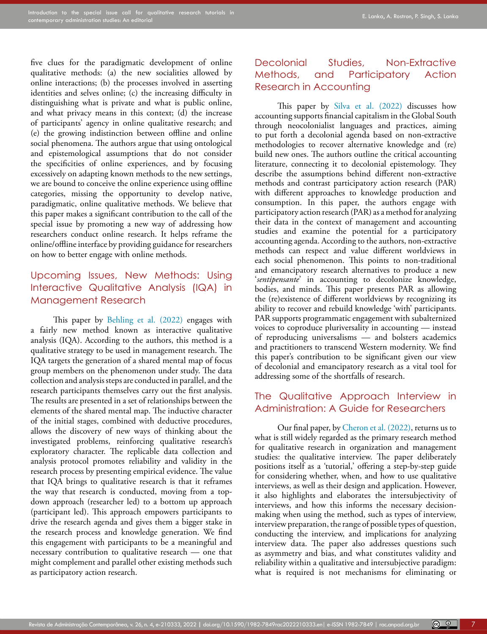five clues for the paradigmatic development of online qualitative methods: (a) the new socialities allowed by online interactions; (b) the processes involved in asserting identities and selves online; (c) the increasing difficulty in distinguishing what is private and what is public online, and what privacy means in this context; (d) the increase of participants' agency in online qualitative research; and (e) the growing indistinction between offline and online social phenomena. The authors argue that using ontological and epistemological assumptions that do not consider the specificities of online experiences, and by focusing excessively on adapting known methods to the new settings, we are bound to conceive the online experience using offline categories, missing the opportunity to develop native, paradigmatic, online qualitative methods. We believe that this paper makes a significant contribution to the call of the special issue by promoting a new way of addressing how researchers conduct online research. It helps reframe the online/offline interface by providing guidance for researchers on how to better engage with online methods.

# Upcoming Issues, New Methods: Using Interactive Qualitative Analysis (IQA) in Management Research

This paper by [Behling et al. \(2022\)](#page-8-13) engages with a fairly new method known as interactive qualitative analysis (IQA). According to the authors, this method is a qualitative strategy to be used in management research. The IQA targets the generation of a shared mental map of focus group members on the phenomenon under study. The data collection and analysis steps are conducted in parallel, and the research participants themselves carry out the first analysis. The results are presented in a set of relationships between the elements of the shared mental map. The inductive character of the initial stages, combined with deductive procedures, allows the discovery of new ways of thinking about the investigated problems, reinforcing qualitative research's exploratory character. The replicable data collection and analysis protocol promotes reliability and validity in the research process by presenting empirical evidence. The value that IQA brings to qualitative research is that it reframes the way that research is conducted, moving from a topdown approach (researcher led) to a bottom up approach (participant led). This approach empowers participants to drive the research agenda and gives them a bigger stake in the research process and knowledge generation. We find this engagement with participants to be a meaningful and necessary contribution to qualitative research — one that might complement and parallel other existing methods such as participatory action research.

# Decolonial Studies, Non-Extractive Methods, and Participatory Action Research in Accounting

This paper by Silva et al. (2022) discusses how accounting supports financial capitalism in the Global South through neocolonialist languages and practices, aiming to put forth a decolonial agenda based on non-extractive methodologies to recover alternative knowledge and (re) build new ones. The authors outline the critical accounting literature, connecting it to decolonial epistemology. They describe the assumptions behind different non-extractive methods and contrast participatory action research (PAR) with different approaches to knowledge production and consumption. In this paper, the authors engage with participatory action research (PAR) as a method for analyzing their data in the context of management and accounting studies and examine the potential for a participatory accounting agenda. According to the authors, non-extractive methods can respect and value different worldviews in each social phenomenon. This points to non-traditional and emancipatory research alternatives to produce a new '*sentipensante*' in accounting to decolonize knowledge, bodies, and minds. This paper presents PAR as allowing the (re)existence of different worldviews by recognizing its ability to recover and rebuild knowledge 'with' participants. PAR supports programmatic engagement with subalternized voices to coproduce pluriversality in accounting — instead of reproducing universalisms — and bolsters academics and practitioners to transcend Western modernity. We find this paper's contribution to be significant given our view of decolonial and emancipatory research as a vital tool for addressing some of the shortfalls of research.

# The Qualitative Approach Interview in Administration: A Guide for Researchers

Our final paper, by [Cheron et al. \(2022\)](#page-8-10), returns us to what is still widely regarded as the primary research method for qualitative research in organization and management studies: the qualitative interview. The paper deliberately positions itself as a 'tutorial,' offering a step-by-step guide for considering whether, when, and how to use qualitative interviews, as well as their design and application. However, it also highlights and elaborates the intersubjectivity of interviews, and how this informs the necessary decisionmaking when using the method, such as types of interview, interview preparation, the range of possible types of question, conducting the interview, and implications for analyzing interview data. The paper also addresses questions such as asymmetry and bias, and what constitutes validity and reliability within a qualitative and intersubjective paradigm: what is required is not mechanisms for eliminating or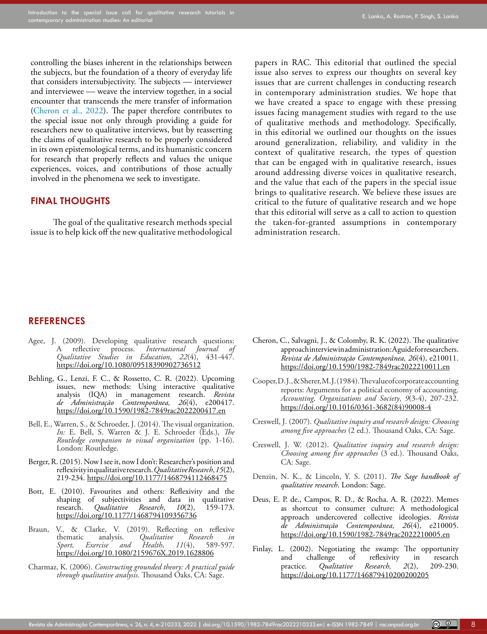controlling the biases inherent in the relationships between the subjects, but the foundation of a theory of everyday life that considers intersubjectivity. The subjects — interviewer and interviewee — weave the interview together, in a social encounter that transcends the mere transfer of information ([Cheron et al., 2022](#page-8-10)). The paper therefore contributes to the special issue not only through providing a guide for researchers new to qualitative interviews, but by reasserting the claims of qualitative research to be properly considered in its own epistemological terms, and its humanistic concern for research that properly reflects and values the unique experiences, voices, and contributions of those actually involved in the phenomena we seek to investigate.

## **FINAL THOUGHTS**

The goal of the qualitative research methods special issue is to help kick off the new qualitative methodological papers in RAC. This editorial that outlined the special issue also serves to express our thoughts on several key issues that are current challenges in conducting research in contemporary administration studies. We hope that we have created a space to engage with these pressing issues facing management studies with regard to the use of qualitative methods and methodology. Specifically, in this editorial we outlined our thoughts on the issues around generalization, reliability, and validity in the context of qualitative research, the types of question that can be engaged with in qualitative research, issues around addressing diverse voices in qualitative research, and the value that each of the papers in the special issue brings to qualitative research. We believe these issues are critical to the future of qualitative research and we hope that this editorial will serve as a call to action to question the taken-for-granted assumptions in contemporary administration research.

## **REFERENCES**

- <span id="page-8-6"></span>Agee, J. (2009). Developing qualitative research questions: A reflective process. *International Journal of Qualitative Studies in Education*, *22*(4), 431-447. [https://doi.org/10.1080/09518390902736512](https://doi.org/10.1080/09518390902736512 )
- <span id="page-8-13"></span>Behling, G., Lenzi, F. C., & Rossetto, C. R. (2022). Upcoming issues, new methods: Using interactive qualitative analysis (IQA) in management research. *Revista de Administração Contemporânea, 26*(4), e200417. [https://doi.org/10.1590/1982-7849rac2022200417.en](https://doi.org/10.1590/1982-7849rac2022200417.en )
- <span id="page-8-11"></span>Bell, E., Warren, S., & Schroeder, J. (2014). The visual organization. *In:* E. Bell, S. Warren & J. E. Schroeder (Eds.), *The Routledge companion to visual organization* (pp. 1-16). London: Routledge.
- <span id="page-8-2"></span>Berger, R. (2015). Now I see it, now I don't: Researcher's position and reflexivity in qualitative research. *Qualitative Research*, *15*(2), 219-234. [https://doi.org/10.1177/1468794112468475](https://doi.org/10.1177/1468794112468475 )
- <span id="page-8-3"></span>Bott, E. (2010). Favourites and others: Reflexivity and the shaping of subjectivities and data in qualitative research. *Qualitative Research*, 10(2), 159-173. research. *Qualitative Research*, *10*(2), 159-173. [https://doi.org/10.1177/1468794109356736](https://doi.org/10.1177/1468794109356736 )
- <span id="page-8-0"></span>Braun, V., & Clarke, V. (2019). Reflecting on reflexive thematic analysis. Qualitative Research in thematic analysis. *Qualitative Research in Sport, Exercise and* [https://doi.org/10.1080/2159676X.2019.1628806](https://doi.org/10.1080/2159676X.2019.1628806 )
- <span id="page-8-7"></span>Charmaz, K. (2006). *Constructing grounded theory: A practical guide through qualitative analysis*. Thousand Oaks, CA: Sage.
- <span id="page-8-10"></span>Cheron, C., Salvagni, J., & Colomby, R. K. (2022). The qualitative approach interview in administration: A guide for researchers. *Revista de Administração Contemporânea, 26*(4), e210011. [https://doi.org/10.1590/1982-7849rac2022210011.en](https://doi.org/10.1590/1982-7849rac2022210011.en )
- <span id="page-8-9"></span>Cooper, D. J., & Sherer, M. J. (1984). The value of corporate accounting reports: Arguments for a political economy of accounting. *Accounting, Organizations and Society*, *9*(3-4), 207-232. [https://doi.org/10.1016/0361-3682\(84\)90008-4](https://doi.org/10.1016/0361-3682(84)90008-4)
- <span id="page-8-8"></span>Creswell, J. (2007). *Qualitative inquiry and research design: Choosing among five approaches* (2 ed.). Thousand Oaks, CA: Sage.
- <span id="page-8-5"></span>Creswell, J. W. (2012). *Qualitative inquiry and research design: Choosing among five approaches* (3 ed.). Thousand Oaks, CA: Sage.
- <span id="page-8-4"></span>Denzin, N. K., & Lincoln, Y. S. (2011). *The Sage handbook of qualitative research*. London: Sage.
- <span id="page-8-12"></span>Deus, E. P. de., Campos, R. D., & Rocha. A. R. (2022). Memes as shortcut to consumer culture: A methodological approach undercovered collective ideologies. *Revista de Administração Contemporânea, 26*(4), e210005. [https://doi.org/10.1590/1982-7849rac2022210005.en](https://doi.org/10.1590/1982-7849rac2022210005.en )
- <span id="page-8-1"></span>Finlay, L. (2002). Negotiating the swamp: The opportunity and challenge of reflexivity in research<br>practice. *Qualitative Research*, 2(2), 209-230. practice. *Qualitative Research*, [https://doi.org/10.1177/146879410200200205](https://doi.org/10.1177/146879410200200205 )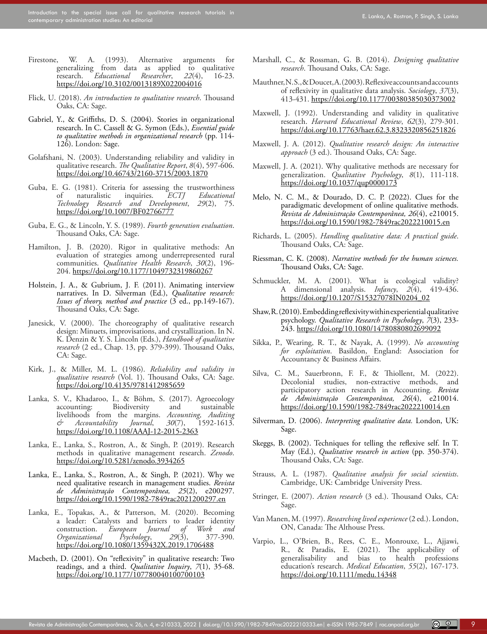Introduction to the special issue call for qualitative research tutorials in<br>contemporary administration studies: An editorial

- <span id="page-9-1"></span>Firestone, W. A. (1993). Alternative arguments for generalizing from data as applied to qualitative<br>research. *Educational Researcher*, 22(4), 16-23.  $\overline{E}$ *Educational Researcher*, [https://doi.org/10.3102/0013189X022004016](https://doi.org/10.3102/0013189X022004016 )
- <span id="page-9-7"></span>Flick, U. (2018). *An introduction to qualitative research*. Thousand Oaks, CA: Sage.
- <span id="page-9-9"></span>Gabriel, Y., & Griffiths, D. S. (2004). Stories in organizational research. In C. Cassell & G. Symon (Eds.), *Essential guide to qualitative methods in organizational research* (pp. 114- 126). London: Sage.
- <span id="page-9-4"></span>Golafshani, N. (2003). Understanding reliability and validity in qualitative research. *The Qualitative Report*, *8*(4), 597-606. <https://doi.org/10.46743/2160-3715/2003.1870>
- <span id="page-9-5"></span>Guba, E. G. (1981). Criteria for assessing the trustworthiness of naturalistic inquiries. ECTJ Educational of naturalistic inquiries. *ECTJ Educational Technology Research and Development*, *29*(2), 75. [https://doi.org/10.1007/BF02766777](https://doi.org/10.1007/BF02766777 )
- <span id="page-9-2"></span>Guba, E. G., & Lincoln, Y. S. (1989). *Fourth generation evaluation*. Thousand Oaks, CA: Sage.
- <span id="page-9-0"></span>Hamilton, J. B. (2020). Rigor in qualitative methods: An evaluation of strategies among underrepresented rural communities. *Qualitative Health Research*, *30*(2), 196- 204. [https://doi.org/10.1177/1049732319860267](https://doi.org/10.1177/1049732319860267 )
- <span id="page-9-8"></span>Holstein, J. A., & Gubrium, J. F. (2011). Animating interview narratives. In D. Silverman (Ed.), *Qualitative research: Issues of theory, method and practice* (3 ed., pp.149-167). Thousand Oaks, CA: Sage.
- <span id="page-9-6"></span>Janesick, V. (2000). The choreography of qualitative research design: Minuets, improvisations, and crystallization. In N. K. Denzin & Y. S. Lincoln (Eds.), *Handbook of qualitative research* (2 ed., Chap. 13, pp. 379-399). Thousand Oaks, CA: Sage.
- <span id="page-9-3"></span>Kirk, J., & Miller, M. L. (1986). *Reliability and validity in qualitative research* (Vol. 1). Thousand Oaks, CA: Sage. [https://doi.org/10.4135/9781412985659](https://doi.org/10.4135/9781412985659 )
- Lanka, S. V., Khadaroo, I., & Böhm, S. (2017). Agroecology **Biodiversity** livelihoods from the margins. *Accounting, Auditing*   $\mathcal{O}$  *Accountability* [https://doi.org/10.1108/AAAJ-12-2015-2363](https://doi.org/10.1108/AAAJ-12-2015-2363 )
- Lanka, E., Lanka, S., Rostron, A., & Singh, P. (2019). Research methods in qualitative management research. *Zenodo*. <https://doi.org/10.5281/zenodo.3934265>
- Lanka, E., Lanka, S., Rostron, A., & Singh, P. (2021). Why we need qualitative research in management studies. *Revista de Administração Contemporânea, 25*(2), e200297. [https://doi.org/10.1590/1982-7849rac2021200297.en](https://doi.org/10.1590/1982-7849rac2021200297.en )
- Lanka, E., Topakas, A., & Patterson, M. (2020). Becoming a leader: Catalysts and barriers to leader identity<br>construction. *European Journal of Work and* construction. *European Journal of Work and Organizational Psychology*, *29*(3), 377-390. [https://doi.org/10.1080/1359432X.2019.1706488](https://doi.org/10.1080/1359432X.2019.1706488 )
- Macbeth, D. (2001). On "reflexivity" in qualitative research: Two readings, and a third. *Qualitative Inquiry*, *7*(1), 35-68. <https://doi.org/10.1177/107780040100700103>
- Marshall, C., & Rossman, G. B. (2014). *Designing qualitative research*. Thousand Oaks, CA: Sage.
- Mauthner, N.S., & Doucet, A. (2003). Reflexive accounts and accounts of reflexivity in qualitative data analysis. *Sociology*, *37*(3), 413-431. [https://doi.org/10.1177/00380385030373002](https://doi.org/10.1177/00380385030373002 )
- Maxwell, J. (1992). Understanding and validity in qualitative research. *Harvard Educational Review*, *62*(3), 279-301. [https://doi.org/10.17763/haer.62.3.8323320856251826](https://doi.org/10.17763/haer.62.3.8323320856251826 )
- Maxwell, J. A. (2012). *Qualitative research design: An interactive approach* (3 ed.). Thousand Oaks, CA: Sage.
- Maxwell, J. A. (2021). Why qualitative methods are necessary for generalization. *Qualitative Psychology*, *8*(1), 111-118. <https://doi.org/10.1037/qup0000173>
- Melo, N. C. M., & Dourado, D. C. P. (2022). Clues for the paradigmatic development of online qualitative methods. *Revista de Administração Contemporânea, 26*(4), e210015. <https://doi.org/10.1590/1982-7849rac2022210015.en>
- Richards, L. (2005). *Handling qualitative data: A practical guide*. Thousand Oaks, CA: Sage.
- Riessman, C. K. (2008). *Narrative methods for the human sciences.*  Thousand Oaks, CA: Sage.
- Schmuckler, M. A. (2001). What is ecological validity? A dimensional analysis. *Infancy*, *2*(4), 419-436. [https://doi.org/10.1207/S15327078IN0204\\_02](https://doi.org/10.1207/S15327078IN0204_02 )
- Shaw, R. (2010). Embedding reflexivity within experiential qualitative psychology. *Qualitative Research in Psychology*, *7*(3), 233- 243.<https://doi.org/10.1080/14780880802699092>
- Sikka, P., Wearing, R. T., & Nayak, A. (1999). *No accounting for exploitation*. Basildon, England: Association for Accountancy & Business Affairs.
- Silva, C. M., Sauerbronn, F. F., & Thiollent, M. (2022). Decolonial studies, non-extractive methods, and participatory action research in Accounting. *Revista de Administração Contemporânea, 26*(4), e210014. [https://doi.org/10.1590/1982-7849rac2022210014.en](https://doi.org/10.1590/1982-7849rac2022210014.en )
- Silverman, D. (2006). *Interpreting qualitative data.* London, UK: Sage.
- Skeggs, B. (2002). Techniques for telling the reflexive self. In T. May (Ed.), *Qualitative research in action* (pp. 350-374). Thousand Oaks, CA: Sage.
- Strauss, A. L. (1987). *Qualitative analysis for social scientists*. Cambridge, UK: Cambridge University Press.
- Stringer, E. (2007). *Action research* (3 ed.). Thousand Oaks, CA: Sage.
- Van Manen, M. (1997). *Researching lived experience* (2 ed.). London, ON, Canada: The Althouse Press.
- Varpio, L., O'Brien, B., Rees, C. E., Monrouxe, L., Ajjawi, R., & Paradis, E. (2021). The applicability of generalisability and bias to health professions education's research. *Medical Education*, *55*(2), 167-173. [https://doi.org/10.1111/medu.14348](https://doi.org/10.1111/medu.14348 )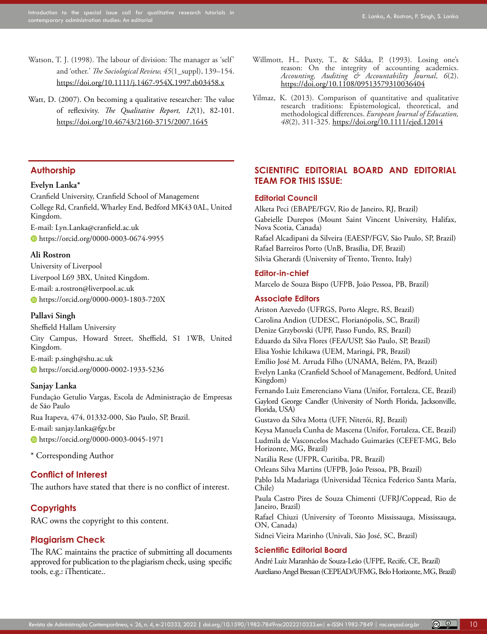- Watson, T. J. (1998). The labour of division: The manager as 'self' and 'other.' *The Sociological Review, 45*(1\_suppl), 139–154. <https://doi.org/10.1111/j.1467-954X.1997.tb03458.x>
- Watt, D. (2007). On becoming a qualitative researcher: The value of reflexivity. *The Qualitative Report, 12*(1), 82-101. [https://doi.org/10.46743/2160-3715/2007.1645](https://doi.org/10.46743/2160-3715/2007.1645 )

## **Authorship**

#### **Evelyn Lanka\***

Cranfield University, Cranfield School of Management College Rd, Cranfield, Wharley End, Bedford MK43 0AL, United Kingdom. E-mail: Lyn.Lanka@cranfield.ac.uk https://orcid.org/0000-0003-0674-9955

#### **Ali Rostron**

University of Liverpool Liverpool L69 3BX, United Kingdom. E-mail: a.rostron@liverpool.ac.uk https://orcid.org/0000-0003-1803-720X

#### **Pallavi Singh**

Sheffield Hallam University City Campus, Howard Street, Sheffield, S1 1WB, United Kingdom. E-mail: p.singh@shu.ac.uk https://orcid.org/0000-0002-1933-5236

### **Sanjay Lanka**

Fundação Getulio Vargas, Escola de Administração de Empresas de São Paulo

Rua Itapeva, 474, 01332-000, São Paulo, SP, Brazil.

E-mail: sanjay.lanka@fgv.br

https://orcid.org/0000-0003-0045-1971

\* Corresponding Author

### **Conflict of Interest**

The authors have stated that there is no conflict of interest.

## **Copyrights**

RAC owns the copyright to this content.

### **Plagiarism Check**

The RAC maintains the practice of submitting all documents approved for publication to the plagiarism check, using specific tools, e.g.: iThenticate..

- Willmott, H., Puxty, T., & Sikka, P. (1993). Losing one's reason: On the integrity of accounting academics. *Accounting, Auditing & Accountability Journal*, *6*(2). [https://doi.org/10.1108/09513579310036404](https://doi.org/10.1108/09513579310036404 )
- Yilmaz, K. (2013). Comparison of quantitative and qualitative research traditions: Epistemological, theoretical, and methodological differences. *European Journal of Education, 48*(2), 311-325.<https://doi.org/10.1111/ejed.12014>

## **SCIENTIFIC EDITORIAL BOARD AND EDITORIAL TEAM FOR THIS ISSUE:**

#### **Editorial Council**

Alketa Peci (EBAPE/FGV, Rio de Janeiro, RJ, Brazil) Gabrielle Durepos (Mount Saint Vincent University, Halifax, Nova Scotia, Canada) Rafael Alcadipani da Silveira (EAESP/FGV, São Paulo, SP, Brazil) Rafael Barreiros Porto (UnB, Brasília, DF, Brazil) Silvia Gherardi (University of Trento, Trento, Italy)

#### **Editor-in-chief**

Marcelo de Souza Bispo (UFPB, João Pessoa, PB, Brazil)

#### **Associate Editors**

Ariston Azevedo (UFRGS, Porto Alegre, RS, Brazil) Carolina Andion (UDESC, Florianópolis, SC, Brazil) Denize Grzybovski (UPF, Passo Fundo, RS, Brazil) Eduardo da Silva Flores (FEA/USP, São Paulo, SP, Brazil) Elisa Yoshie Ichikawa (UEM, Maringá, PR, Brazil) Emílio José M. Arruda Filho (UNAMA, Belém, PA, Brazil) Evelyn Lanka (Cranfield School of Management, Bedford, United Kingdom) Fernando Luiz Emerenciano Viana (Unifor, Fortaleza, CE, Brazil) Gaylord George Candler (University of North Florida, Jacksonville, Florida, USA) Gustavo da Silva Motta (UFF, Niterói, RJ, Brazil) Keysa Manuela Cunha de Mascena (Unifor, Fortaleza, CE, Brazil) Ludmila de Vasconcelos Machado Guimarães (CEFET-MG, Belo Horizonte, MG, Brazil) Natália Rese (UFPR, Curitiba, PR, Brazil) Orleans Silva Martins (UFPB, João Pessoa, PB, Brazil) Pablo Isla Madariaga (Universidad Técnica Federico Santa María, Chile) Paula Castro Pires de Souza Chimenti (UFRJ/Coppead, Rio de Janeiro, Brazil) Rafael Chiuzi (University of Toronto Mississauga, Mississauga, ON, Canada) Sidnei Vieira Marinho (Univali, São José, SC, Brazil)

### **Scientific Editorial Board**

André Luiz Maranhão de Souza-Leão (UFPE, Recife, CE, Brazil) Aureliano Angel Bressan (CEPEAD/UFMG, Belo Horizonte, MG, Brazil)